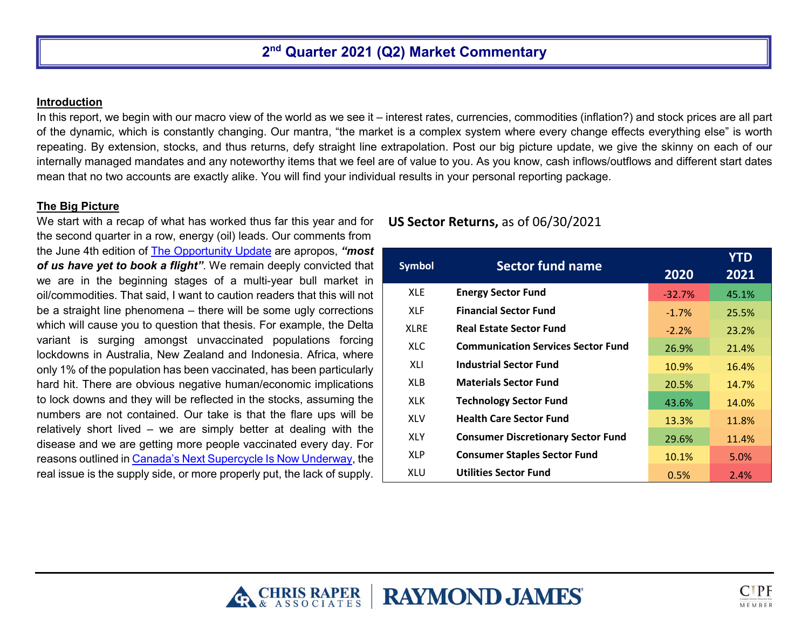# **2nd Quarter 2021 (Q2) Market Commentary**

#### **Introduction**

In this report, we begin with our macro view of the world as we see it – interest rates, currencies, commodities (inflation?) and stock prices are all part of the dynamic, which is constantly changing. Our mantra, "the market is a complex system where every change effects everything else" is worth repeating. By extension, stocks, and thus returns, defy straight line extrapolation. Post our big picture update, we give the skinny on each of our internally managed mandates and any noteworthy items that we feel are of value to you. As you know, cash inflows/outflows and different start dates mean that no two accounts are exactly alike. You will find your individual results in your personal reporting package.

### **The Big Picture**

We start with a recap of what has worked thus far this year and for the second quarter in a row, energy (oil) leads. Our comments from the June 4th edition of [The Opportunity Update](https://www.chrisraper.com/insights/the-opportunity-update) are apropos, *"most of us have yet to book a flight"*. We remain deeply convicted that we are in the beginning stages of a multi-year bull market in oil/commodities. That said, I want to caution readers that this will not be a straight line phenomena – there will be some ugly corrections which will cause you to question that thesis. For example, the Delta variant is surging amongst unvaccinated populations forcing lockdowns in Australia, New Zealand and Indonesia. Africa, where only 1% of the population has been vaccinated, has been particularly hard hit. There are obvious negative human/economic implications to lock downs and they will be reflected in the stocks, assuming the numbers are not contained. Our take is that the flare ups will be relatively short lived – we are simply better at dealing with the disease and we are getting more people vaccinated every day. For reasons outlined i[n Canada's Next Supercycle Is Now Underway,](https://www.chrisraper.com/insights/-/media/b96efeaee18a497abe926bb93e43f0bf.ashx) the real issue is the supply side, or more properly put, the lack of supply.

## **US Sector Returns,** as of 06/30/2021

| <b>Symbol</b> | <b>Sector fund name</b>                   |          | <b>YTD</b> |
|---------------|-------------------------------------------|----------|------------|
|               |                                           | 2020     | 2021       |
| <b>XLE</b>    | <b>Energy Sector Fund</b>                 | $-32.7%$ | 45.1%      |
| <b>XLF</b>    | <b>Financial Sector Fund</b>              | $-1.7%$  | 25.5%      |
| <b>XLRE</b>   | <b>Real Estate Sector Fund</b>            | $-2.2%$  | 23.2%      |
| XLC.          | <b>Communication Services Sector Fund</b> | 26.9%    | 21.4%      |
| XLI           | <b>Industrial Sector Fund</b>             | 10.9%    | 16.4%      |
| XLB           | <b>Materials Sector Fund</b>              | 20.5%    | 14.7%      |
| XLK.          | <b>Technology Sector Fund</b>             | 43.6%    | 14.0%      |
| <b>XLV</b>    | <b>Health Care Sector Fund</b>            | 13.3%    | 11.8%      |
| <b>XLY</b>    | <b>Consumer Discretionary Sector Fund</b> | 29.6%    | 11.4%      |
| <b>XLP</b>    | <b>Consumer Staples Sector Fund</b>       | 10.1%    | 5.0%       |
| XLU           | <b>Utilities Sector Fund</b>              | 0.5%     | 2.4%       |

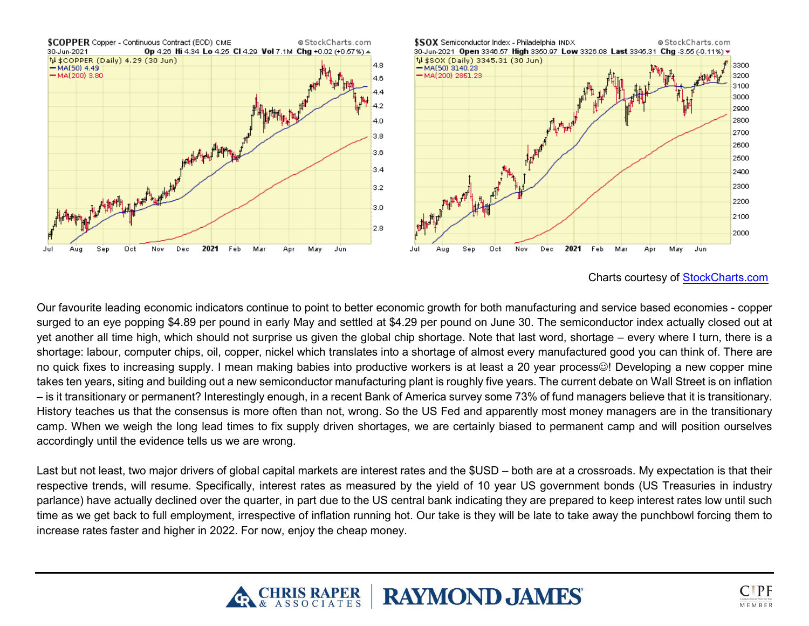

Charts courtesy of [StockCharts.com](https://stockcharts.com/)

Our favourite leading economic indicators continue to point to better economic growth for both manufacturing and service based economies - copper surged to an eye popping \$4.89 per pound in early May and settled at \$4.29 per pound on June 30. The semiconductor index actually closed out at yet another all time high, which should not surprise us given the global chip shortage. Note that last word, shortage – every where I turn, there is a shortage: labour, computer chips, oil, copper, nickel which translates into a shortage of almost every manufactured good you can think of. There are no quick fixes to increasing supply. I mean making babies into productive workers is at least a 20 year process. Developing a new copper mine takes ten years, siting and building out a new semiconductor manufacturing plant is roughly five years. The current debate on Wall Street is on inflation – is it transitionary or permanent? Interestingly enough, in a recent Bank of America survey some 73% of fund managers believe that it is transitionary. History teaches us that the consensus is more often than not, wrong. So the US Fed and apparently most money managers are in the transitionary camp. When we weigh the long lead times to fix supply driven shortages, we are certainly biased to permanent camp and will position ourselves accordingly until the evidence tells us we are wrong.

Last but not least, two major drivers of global capital markets are interest rates and the \$USD – both are at a crossroads. My expectation is that their respective trends, will resume. Specifically, interest rates as measured by the yield of 10 year US government bonds (US Treasuries in industry parlance) have actually declined over the quarter, in part due to the US central bank indicating they are prepared to keep interest rates low until such time as we get back to full employment, irrespective of inflation running hot. Our take is they will be late to take away the punchbowl forcing them to increase rates faster and higher in 2022. For now, enjoy the cheap money.



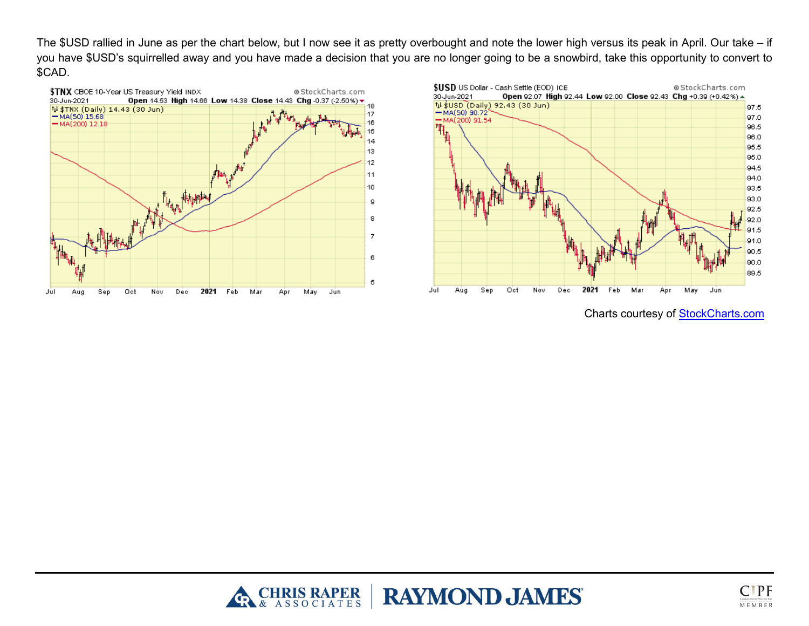The \$USD rallied in June as per the chart below, but I now see it as pretty overbought and note the lower high versus its peak in April. Our take – if you have \$USD's squirrelled away and you have made a decision that you are no longer going to be a snowbird, take this opportunity to convert to \$CAD.





Charts courtesy of [StockCharts.com](https://stockcharts.com/)



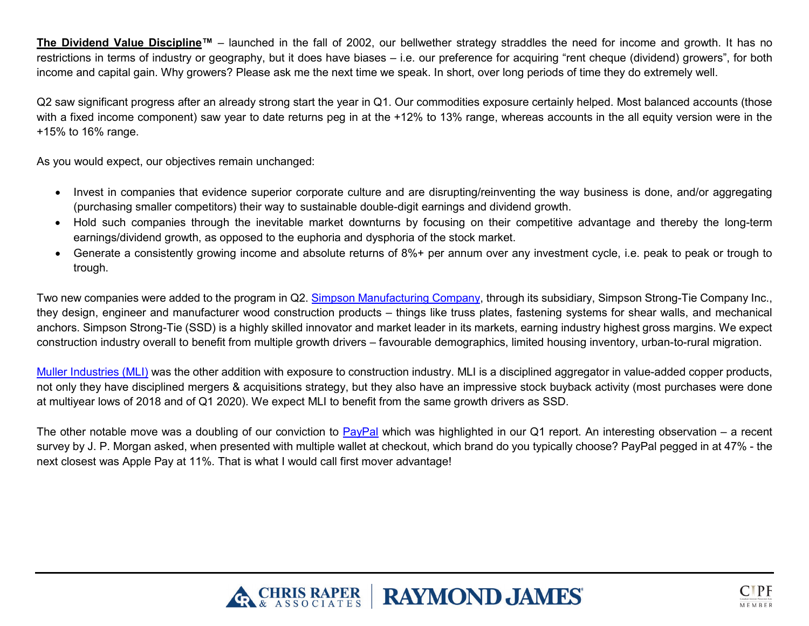**The Dividend Value Discipline™** – launched in the fall of 2002, our bellwether strategy straddles the need for income and growth. It has no restrictions in terms of industry or geography, but it does have biases – i.e. our preference for acquiring "rent cheque (dividend) growers", for both income and capital gain. Why growers? Please ask me the next time we speak. In short, over long periods of time they do extremely well.

Q2 saw significant progress after an already strong start the year in Q1. Our commodities exposure certainly helped. Most balanced accounts (those with a fixed income component) saw year to date returns peg in at the +12% to 13% range, whereas accounts in the all equity version were in the +15% to 16% range.

As you would expect, our objectives remain unchanged:

- Invest in companies that evidence superior corporate culture and are disrupting/reinventing the way business is done, and/or aggregating (purchasing smaller competitors) their way to sustainable double-digit earnings and dividend growth.
- Hold such companies through the inevitable market downturns by focusing on their competitive advantage and thereby the long-term earnings/dividend growth, as opposed to the euphoria and dysphoria of the stock market.
- Generate a consistently growing income and absolute returns of 8%+ per annum over any investment cycle, i.e. peak to peak or trough to trough.

Two new companies were added to the program in Q2. [Simpson Manufacturing Company,](https://ir.simpsonmfg.com/home/default.aspx) through its subsidiary, Simpson Strong-Tie Company Inc., they design, engineer and manufacturer wood construction products – things like truss plates, fastening systems for shear walls, and mechanical anchors. Simpson Strong-Tie (SSD) is a highly skilled innovator and market leader in its markets, earning industry highest gross margins. We expect construction industry overall to benefit from multiple growth drivers – favourable demographics, limited housing inventory, urban-to-rural migration.

[Muller Industries \(MLI\)](http://www.muellerindustries.com/) was the other addition with exposure to construction industry. MLI is a disciplined aggregator in value-added copper products, not only they have disciplined mergers & acquisitions strategy, but they also have an impressive stock buyback activity (most purchases were done at multiyear lows of 2018 and of Q1 2020). We expect MLI to benefit from the same growth drivers as SSD.

The other notable move was a doubling of our conviction to  $PayPal$  which was highlighted in our Q1 report. An interesting observation – a recent survey by J. P. Morgan asked, when presented with multiple wallet at checkout, which brand do you typically choose? PayPal pegged in at 47% - the next closest was Apple Pay at 11%. That is what I would call first mover advantage!



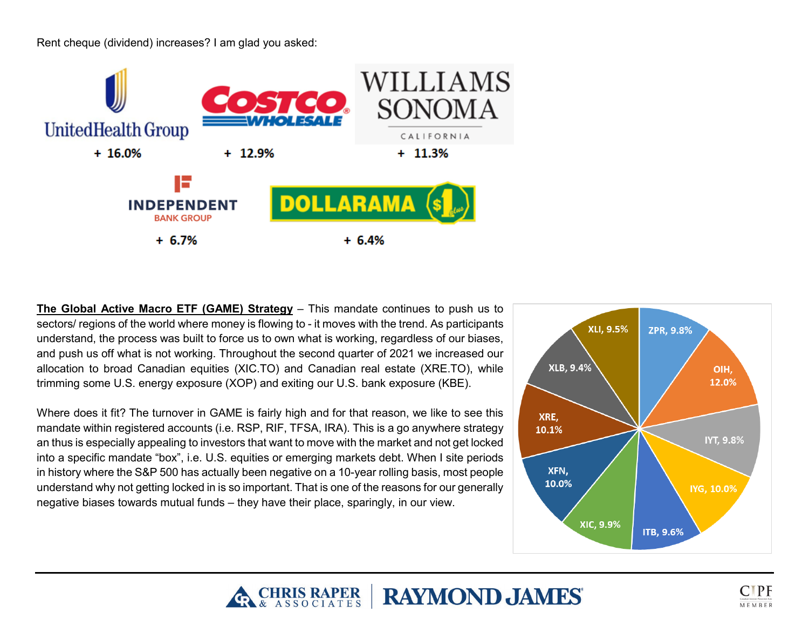Rent cheque (dividend) increases? I am glad you asked:



**The Global Active Macro ETF (GAME) Strategy** – This mandate continues to push us to sectors/ regions of the world where money is flowing to - it moves with the trend. As participants understand, the process was built to force us to own what is working, regardless of our biases, and push us off what is not working. Throughout the second quarter of 2021 we increased our allocation to broad Canadian equities (XIC.TO) and Canadian real estate (XRE.TO), while trimming some U.S. energy exposure (XOP) and exiting our U.S. bank exposure (KBE).

Where does it fit? The turnover in GAME is fairly high and for that reason, we like to see this mandate within registered accounts (i.e. RSP, RIF, TFSA, IRA). This is a go anywhere strategy an thus is especially appealing to investors that want to move with the market and not get locked into a specific mandate "box", i.e. U.S. equities or emerging markets debt. When I site periods in history where the S&P 500 has actually been negative on a 10-year rolling basis, most people understand why not getting locked in is so important. That is one of the reasons for our generally negative biases towards mutual funds – they have their place, sparingly, in our view.





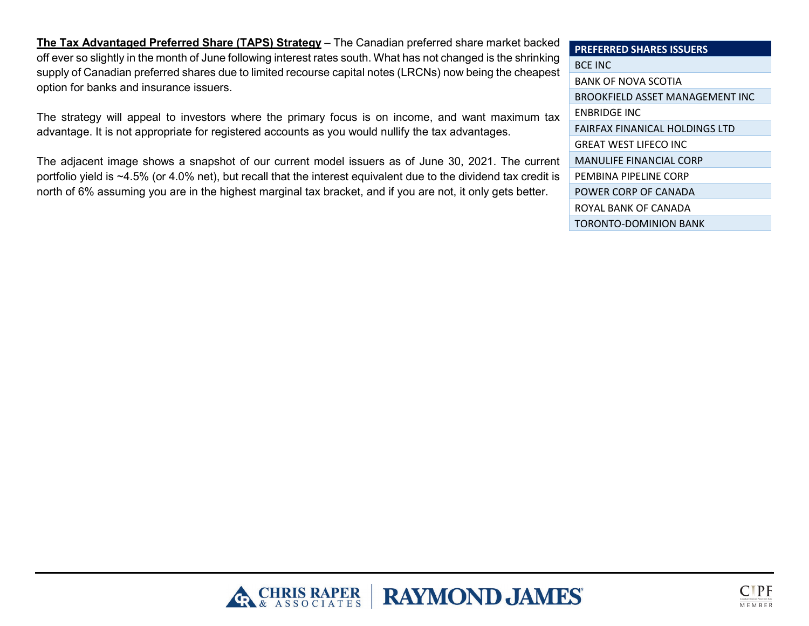**The Tax Advantaged Preferred Share (TAPS) Strategy** – The Canadian preferred share market backed off ever so slightly in the month of June following interest rates south. What has not changed is the shrinking supply of Canadian preferred shares due to limited recourse capital notes (LRCNs) now being the cheapest option for banks and insurance issuers.

The strategy will appeal to investors where the primary focus is on income, and want maximum tax advantage. It is not appropriate for registered accounts as you would nullify the tax advantages.

The adjacent image shows a snapshot of our current model issuers as of June 30, 2021. The current portfolio yield is ~4.5% (or 4.0% net), but recall that the interest equivalent due to the dividend tax credit is north of 6% assuming you are in the highest marginal tax bracket, and if you are not, it only gets better.

| <b>PREFERRED SHARES ISSUERS</b> |
|---------------------------------|
| <b>BCE INC</b>                  |
| BANK OF NOVA SCOTIA             |
| BROOKFIELD ASSET MANAGEMENT INC |
| <b>ENBRIDGE INC</b>             |
| FAIRFAX FINANICAL HOLDINGS LTD  |
| <b>GREAT WEST LIFECO INC</b>    |
| MANULIFE FINANCIAL CORP         |
| PEMBINA PIPELINE CORP           |
| POWER CORP OF CANADA            |
| ROYAL BANK OF CANADA            |
| TORONTO-DOMINION BANK           |



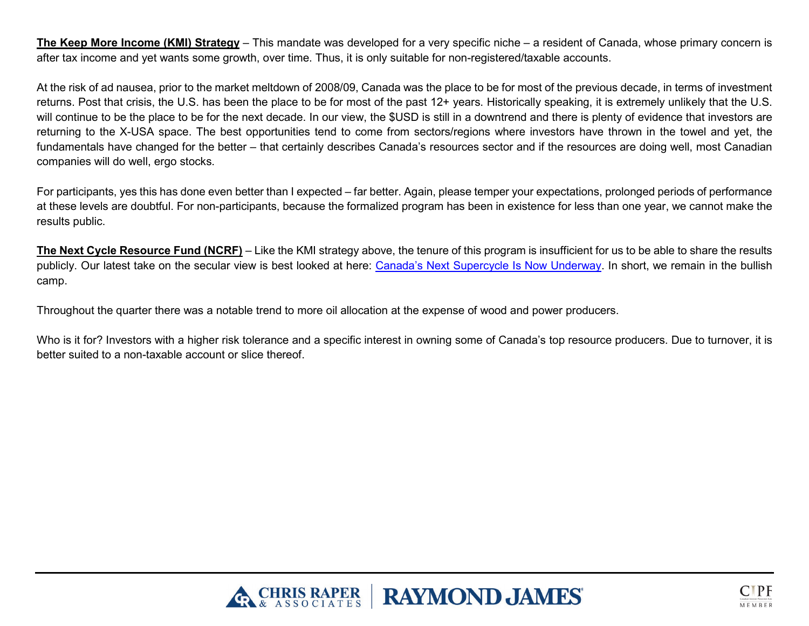**The Keep More Income (KMI) Strategy** – This mandate was developed for a very specific niche – a resident of Canada, whose primary concern is after tax income and yet wants some growth, over time. Thus, it is only suitable for non-registered/taxable accounts.

At the risk of ad nausea, prior to the market meltdown of 2008/09, Canada was the place to be for most of the previous decade, in terms of investment returns. Post that crisis, the U.S. has been the place to be for most of the past 12+ years. Historically speaking, it is extremely unlikely that the U.S. will continue to be the place to be for the next decade. In our view, the \$USD is still in a downtrend and there is plenty of evidence that investors are returning to the X-USA space. The best opportunities tend to come from sectors/regions where investors have thrown in the towel and yet, the fundamentals have changed for the better – that certainly describes Canada's resources sector and if the resources are doing well, most Canadian companies will do well, ergo stocks.

For participants, yes this has done even better than I expected – far better. Again, please temper your expectations, prolonged periods of performance at these levels are doubtful. For non-participants, because the formalized program has been in existence for less than one year, we cannot make the results public.

**The Next Cycle Resource Fund (NCRF)** – Like the KMI strategy above, the tenure of this program is insufficient for us to be able to share the results publicly. Our latest take on the secular view is best looked at here: [Canada's Next Supercycle Is Now Underway.](https://www.chrisraper.com/insights/-/media/b96efeaee18a497abe926bb93e43f0bf.ashx) In short, we remain in the bullish camp.

Throughout the quarter there was a notable trend to more oil allocation at the expense of wood and power producers.

Who is it for? Investors with a higher risk tolerance and a specific interest in owning some of Canada's top resource producers. Due to turnover, it is better suited to a non-taxable account or slice thereof.